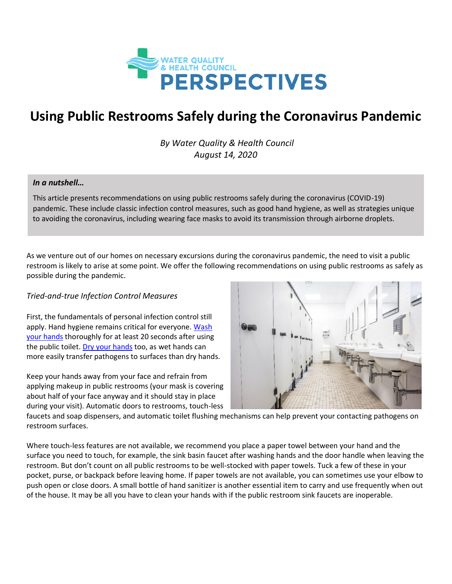

# **Using Public Restrooms Safely during the Coronavirus Pandemic**

*By Water Quality & Health Council August 14, 2020*

#### *In a nutshell…*

This article presents recommendations on using public restrooms safely during the coronavirus (COVID-19) pandemic. These include classic infection control measures, such as good hand hygiene, as well as strategies unique to avoiding the coronavirus, including wearing face masks to avoid its transmission through airborne droplets.

As we venture out of our homes on necessary excursions during the coronavirus pandemic, the need to visit a public restroom is likely to arise at some point. We offer the following recommendations on using public restrooms as safely as possible during the pandemic.

#### *Tried-and-true Infection Control Measures*

First, the fundamentals of personal infection control still apply. Hand hygiene remains critical for everyone. Wash [your hands](https://www.cdc.gov/coronavirus/2019-ncov/global-covid-19/handwashing.html) thoroughly for at least 20 seconds after using the public toilet. [Dry your hands](https://www.ncbi.nlm.nih.gov/pmc/articles/PMC3538484/#:~:text=The%20transmission%20of%20bacteria%20is,hygiene%20process%20in%20health%20care.) too, as wet hands can more easily transfer pathogens to surfaces than dry hands.

Keep your hands away from your face and refrain from applying makeup in public restrooms (your mask is covering about half of your face anyway and it should stay in place during your visit). Automatic doors to restrooms, touch-less



faucets and soap dispensers, and automatic toilet flushing mechanisms can help prevent your contacting pathogens on restroom surfaces.

Where touch-less features are not available, we recommend you place a paper towel between your hand and the surface you need to touch, for example, the sink basin faucet after washing hands and the door handle when leaving the restroom. But don't count on all public restrooms to be well-stocked with paper towels. Tuck a few of these in your pocket, purse, or backpack before leaving home. If paper towels are not available, you can sometimes use your elbow to push open or close doors. A small bottle of hand sanitizer is another essential item to carry and use frequently when out of the house. It may be all you have to clean your hands with if the public restroom sink faucets are inoperable.